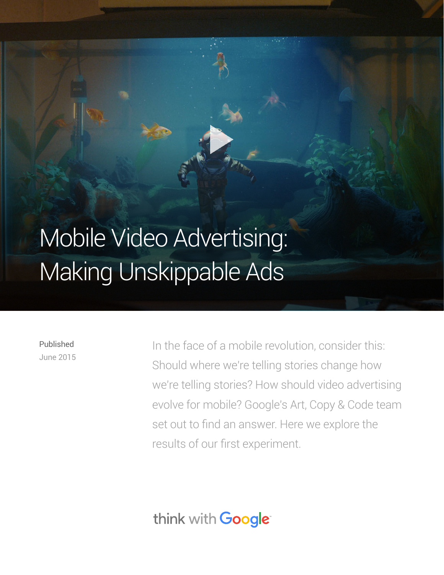# [Mobile Video Advertising:](https://www.youtube.com/watch?v=6HHgzEGwil4)  Making Unskippable Ads

Published June 2015 In the face of a mobile revolution, consider this: Should where we're telling stories change how we're telling stories? How should video advertising evolve for mobile? Google's Art, Copy & Code team set out to find an answer. Here we explore the results of our first experiment.

think with Google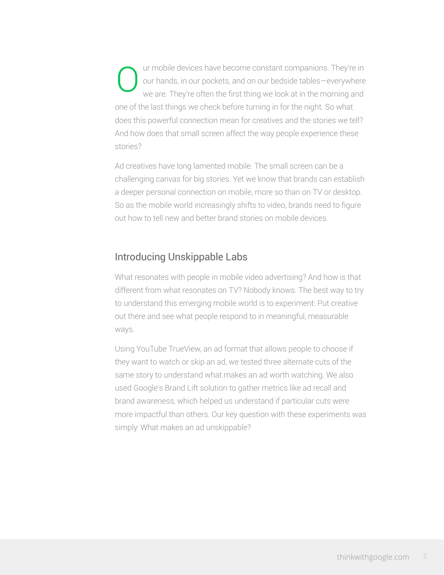ur mobile devices have become constant companions. They're in our hands, in our pockets, and on our bedside tables—everywhere we are. They're often the first thing we look at in the morning and one of the last things we check before turning in for the night. So what does this powerful connection mean for creatives and the stories we tell? And how does that small screen affect the way people experience these stories? O

Ad creatives have long lamented mobile. The small screen can be a challenging canvas for big stories. Yet we know that brands can establish a deeper personal connection on mobile, more so than on TV or desktop. So as the mobile world increasingly shifts to video, brands need to figure out how to tell new and better brand stories on mobile devices.

### Introducing Unskippable Labs

What resonates with people in mobile video advertising? And how is that different from what resonates on TV? Nobody knows. The best way to try to understand this emerging mobile world is to experiment: Put creative out there and see what people respond to in meaningful, measurable ways.

Using YouTube TrueView, an ad format that allows people to choose if they want to watch or skip an ad, we tested three alternate cuts of the same story to understand what makes an ad worth watching. We also used Google's Brand Lift solution to gather metrics like ad recall and brand awareness, which helped us understand if particular cuts were more impactful than others. Our key question with these experiments was simply: What makes an ad unskippable?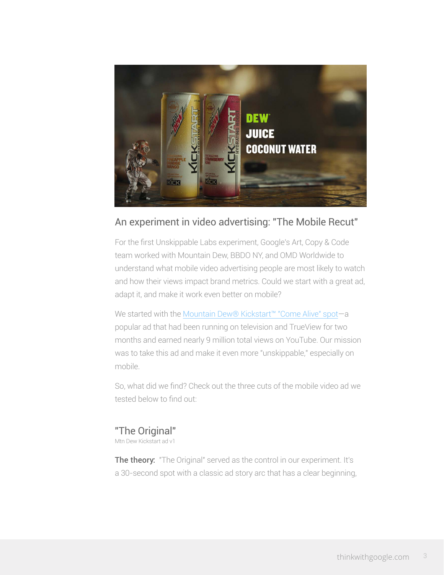

## An experiment in video advertising: "The Mobile Recut"

For the first Unskippable Labs experiment, Google's Art, Copy & Code team worked with Mountain Dew, BBDO NY, and OMD Worldwide to understand what mobile video advertising people are most likely to watch and how their views impact brand metrics. Could we start with a great ad, adapt it, and make it work even better on mobile?

We started with the [Mountain Dew® Kickstart™ "Come Alive" spot](https://www.youtube.com/watch?v=mjwUVZHBcoY)-a popular ad that had been running on television and TrueView for two months and earned nearly 9 million total views on YouTube. Our mission was to take this ad and make it even more "unskippable," especially on mobile.

So, what did we find? Check out the three cuts of the mobile video ad we tested below to find out:

#### "The Original"

Mtn Dew Kickstart ad v1

The theory: "The Original" served as the control in our experiment. It's a 30-second spot with a classic ad story arc that has a clear beginning,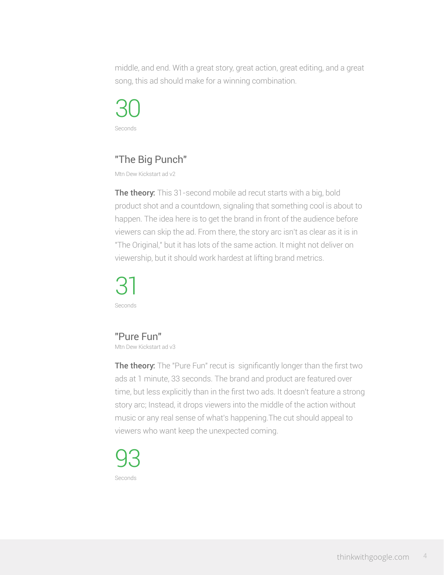middle, and end. With a great story, great action, great editing, and a great song, this ad should make for a winning combination.

30 Seconds

## "The Big Punch"

Mtn Dew Kickstart ad v2

The theory: This 31-second mobile ad recut starts with a big, bold product shot and a countdown, signaling that something cool is about to happen. The idea here is to get the brand in front of the audience before viewers can skip the ad. From there, the story arc isn't as clear as it is in "The Original," but it has lots of the same action. It might not deliver on viewership, but it should work hardest at lifting brand metrics.

31 Seconds

"Pure Fun"

Mtn Dew Kickstart ad v3

The theory: The "Pure Fun" recut is significantly longer than the first two ads at 1 minute, 33 seconds. The brand and product are featured over time, but less explicitly than in the first two ads. It doesn't feature a strong story arc; Instead, it drops viewers into the middle of the action without music or any real sense of what's happening.The cut should appeal to viewers who want keep the unexpected coming.

93 Seconds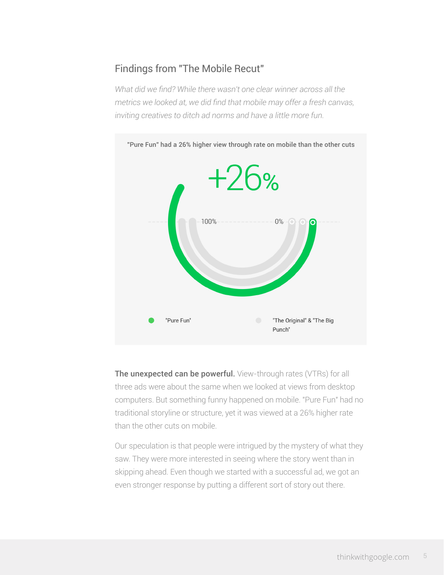## Findings from "The Mobile Recut"

*What did we find? While there wasn't one clear winner across all the metrics we looked at, we did find that mobile may offer a fresh canvas, inviting creatives to ditch ad norms and have a little more fun.*



The unexpected can be powerful. View-through rates (VTRs) for all three ads were about the same when we looked at views from desktop computers. But something funny happened on mobile. "Pure Fun" had no traditional storyline or structure, yet it was viewed at a 26% higher rate than the other cuts on mobile.

Our speculation is that people were intrigued by the mystery of what they saw. They were more interested in seeing where the story went than in skipping ahead. Even though we started with a successful ad, we got an even stronger response by putting a different sort of story out there.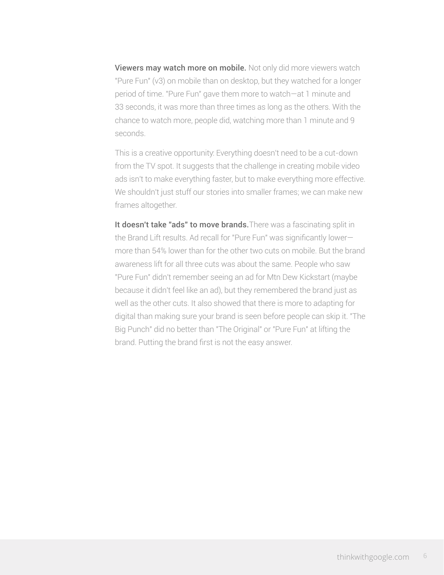Viewers may watch more on mobile. Not only did more viewers watch "Pure Fun" (v3) on mobile than on desktop, but they watched for a longer period of time. "Pure Fun" gave them more to watch—at 1 minute and 33 seconds, it was more than three times as long as the others. With the chance to watch more, people did, watching more than 1 minute and 9 seconds.

This is a creative opportunity: Everything doesn't need to be a cut-down from the TV spot. It suggests that the challenge in creating mobile video ads isn't to make everything faster, but to make everything more effective. We shouldn't just stuff our stories into smaller frames; we can make new frames altogether.

It doesn't take "ads" to move brands. There was a fascinating split in the Brand Lift results. Ad recall for "Pure Fun" was significantly lower more than 54% lower than for the other two cuts on mobile. But the brand awareness lift for all three cuts was about the same. People who saw "Pure Fun" didn't remember seeing an ad for Mtn Dew Kickstart (maybe because it didn't feel like an ad), but they remembered the brand just as well as the other cuts. It also showed that there is more to adapting for digital than making sure your brand is seen before people can skip it. "The Big Punch" did no better than "The Original" or "Pure Fun" at lifting the brand. Putting the brand first is not the easy answer.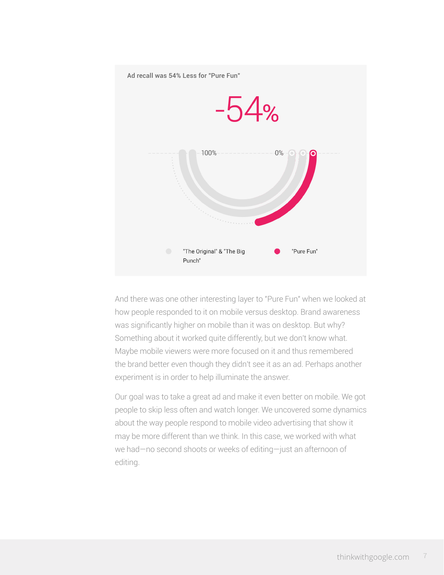

And there was one other interesting layer to "Pure Fun" when we looked at how people responded to it on mobile versus desktop. Brand awareness was significantly higher on mobile than it was on desktop. But why? Something about it worked quite differently, but we don't know what. Maybe mobile viewers were more focused on it and thus remembered the brand better even though they didn't see it as an ad. Perhaps another experiment is in order to help illuminate the answer.

Our goal was to take a great ad and make it even better on mobile. We got people to skip less often and watch longer. We uncovered some dynamics about the way people respond to mobile video advertising that show it may be more different than we think. In this case, we worked with what we had—no second shoots or weeks of editing—just an afternoon of editing.